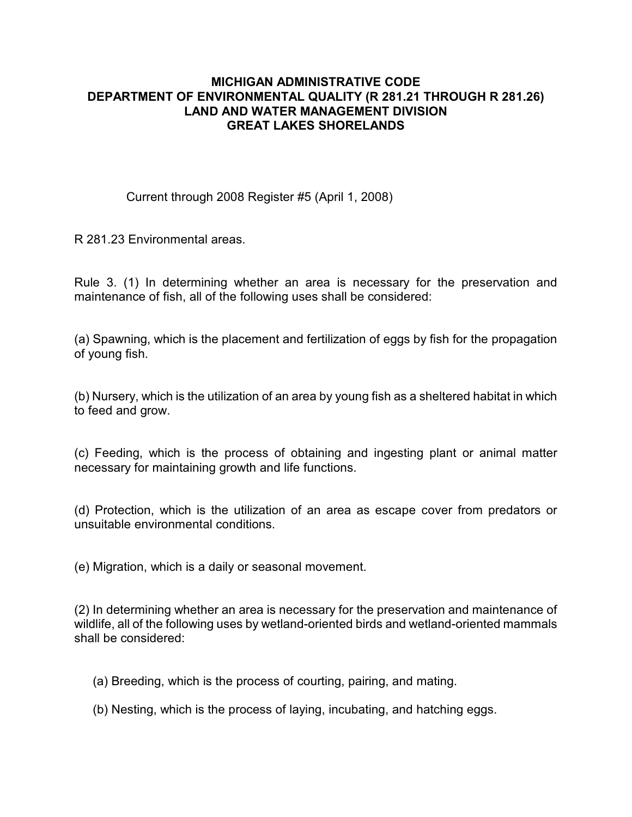## **MICHIGAN ADMINISTRATIVE CODE DEPARTMENT OF ENVIRONMENTAL QUALITY (R 281.21 THROUGH R 281.26) LAND AND WATER MANAGEMENT DIVISION GREAT LAKES SHORELANDS**

Current through 2008 Register #5 (April 1, 2008)

R 281.23 Environmental areas.

Rule 3. (1) In determining whether an area is necessary for the preservation and maintenance of fish, all of the following uses shall be considered:

(a) Spawning, which is the placement and fertilization of eggs by fish for the propagation of young fish.

(b) Nursery, which is the utilization of an area by young fish as a sheltered habitat in which to feed and grow.

(c) Feeding, which is the process of obtaining and ingesting plant or animal matter necessary for maintaining growth and life functions.

(d) Protection, which is the utilization of an area as escape cover from predators or unsuitable environmental conditions.

(e) Migration, which is a daily or seasonal movement.

(2) In determining whether an area is necessary for the preservation and maintenance of wildlife, all of the following uses by wetland-oriented birds and wetland-oriented mammals shall be considered:

(a) Breeding, which is the process of courting, pairing, and mating.

(b) Nesting, which is the process of laying, incubating, and hatching eggs.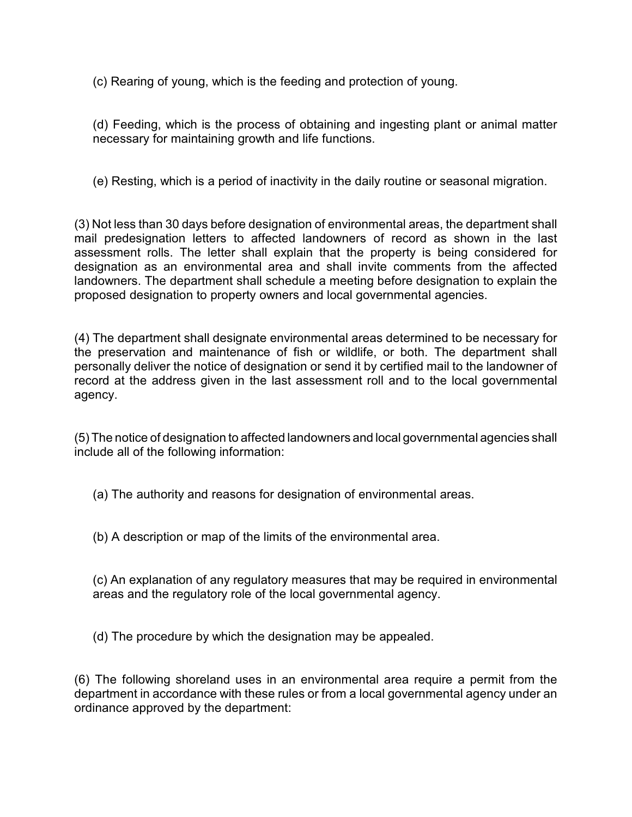(c) Rearing of young, which is the feeding and protection of young.

(d) Feeding, which is the process of obtaining and ingesting plant or animal matter necessary for maintaining growth and life functions.

(e) Resting, which is a period of inactivity in the daily routine or seasonal migration.

(3) Not less than 30 days before designation of environmental areas, the department shall mail predesignation letters to affected landowners of record as shown in the last assessment rolls. The letter shall explain that the property is being considered for designation as an environmental area and shall invite comments from the affected landowners. The department shall schedule a meeting before designation to explain the proposed designation to property owners and local governmental agencies.

(4) The department shall designate environmental areas determined to be necessary for the preservation and maintenance of fish or wildlife, or both. The department shall personally deliver the notice of designation or send it by certified mail to the landowner of record at the address given in the last assessment roll and to the local governmental agency.

(5) The notice of designation to affected landowners and local governmental agencies shall include all of the following information:

(a) The authority and reasons for designation of environmental areas.

(b) A description or map of the limits of the environmental area.

(c) An explanation of any regulatory measures that may be required in environmental areas and the regulatory role of the local governmental agency.

(d) The procedure by which the designation may be appealed.

(6) The following shoreland uses in an environmental area require a permit from the department in accordance with these rules or from a local governmental agency under an ordinance approved by the department: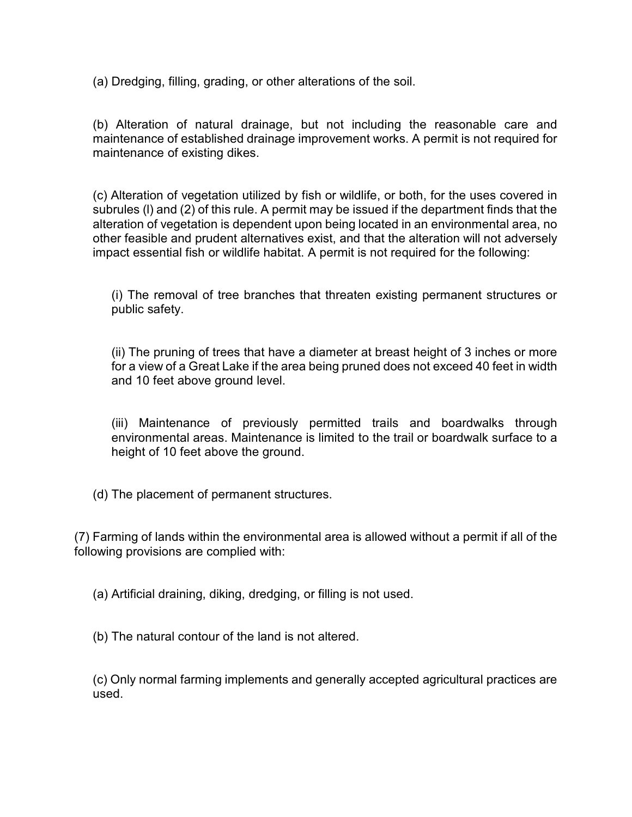(a) Dredging, filling, grading, or other alterations of the soil.

(b) Alteration of natural drainage, but not including the reasonable care and maintenance of established drainage improvement works. A permit is not required for maintenance of existing dikes.

(c) Alteration of vegetation utilized by fish or wildlife, or both, for the uses covered in subrules (l) and (2) of this rule. A permit may be issued if the department finds that the alteration of vegetation is dependent upon being located in an environmental area, no other feasible and prudent alternatives exist, and that the alteration will not adversely impact essential fish or wildlife habitat. A permit is not required for the following:

(i) The removal of tree branches that threaten existing permanent structures or public safety.

(ii) The pruning of trees that have a diameter at breast height of 3 inches or more for a view of a Great Lake if the area being pruned does not exceed 40 feet in width and 10 feet above ground level.

(iii) Maintenance of previously permitted trails and boardwalks through environmental areas. Maintenance is limited to the trail or boardwalk surface to a height of 10 feet above the ground.

(d) The placement of permanent structures.

(7) Farming of lands within the environmental area is allowed without a permit if all of the following provisions are complied with:

(a) Artificial draining, diking, dredging, or filling is not used.

(b) The natural contour of the land is not altered.

(c) Only normal farming implements and generally accepted agricultural practices are used.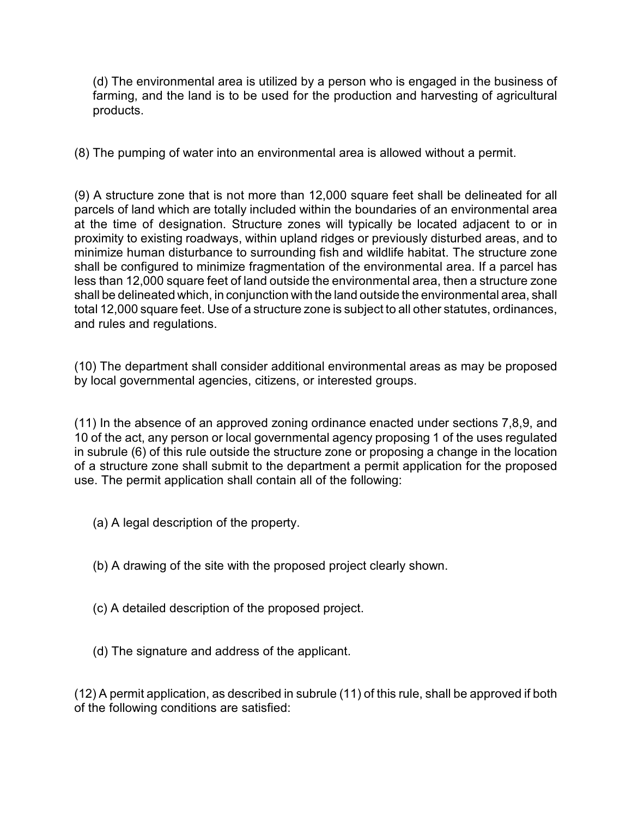(d) The environmental area is utilized by a person who is engaged in the business of farming, and the land is to be used for the production and harvesting of agricultural products.

(8) The pumping of water into an environmental area is allowed without a permit.

(9) A structure zone that is not more than 12,000 square feet shall be delineated for all parcels of land which are totally included within the boundaries of an environmental area at the time of designation. Structure zones will typically be located adjacent to or in proximity to existing roadways, within upland ridges or previously disturbed areas, and to minimize human disturbance to surrounding fish and wildlife habitat. The structure zone shall be configured to minimize fragmentation of the environmental area. If a parcel has less than 12,000 square feet of land outside the environmental area, then a structure zone shall be delineated which, in conjunction with the land outside the environmental area, shall total 12,000 square feet. Use of a structure zone is subject to all other statutes, ordinances, and rules and regulations.

(10) The department shall consider additional environmental areas as may be proposed by local governmental agencies, citizens, or interested groups.

(11) In the absence of an approved zoning ordinance enacted under sections 7,8,9, and 10 of the act, any person or local governmental agency proposing 1 of the uses regulated in subrule (6) of this rule outside the structure zone or proposing a change in the location of a structure zone shall submit to the department a permit application for the proposed use. The permit application shall contain all of the following:

- (a) A legal description of the property.
- (b) A drawing of the site with the proposed project clearly shown.
- (c) A detailed description of the proposed project.
- (d) The signature and address of the applicant.

(12) A permit application, as described in subrule (11) of this rule, shall be approved if both of the following conditions are satisfied: